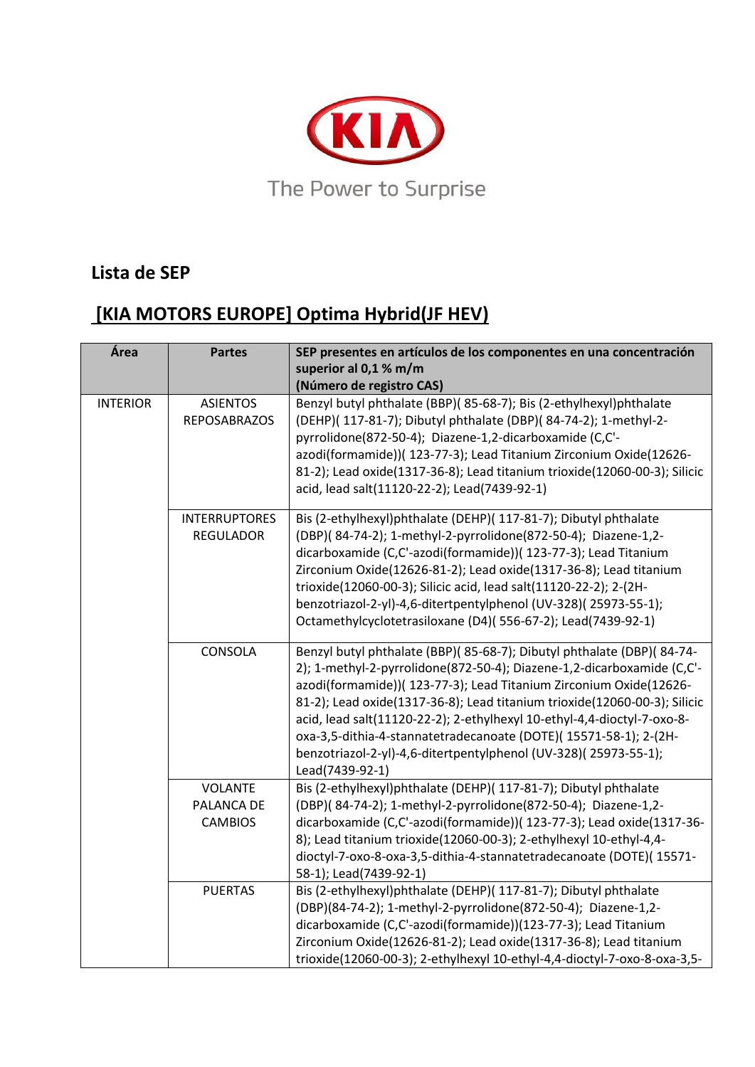

## **Lista de SEP**

## **[KIA MOTORS EUROPE] Optima Hybrid(JF HEV)**

| Área            | <b>Partes</b>                                  | SEP presentes en artículos de los componentes en una concentración<br>superior al 0,1 % m/m<br>(Número de registro CAS)                                                                                                                                                                                                                                                                                                                                                                                                                 |
|-----------------|------------------------------------------------|-----------------------------------------------------------------------------------------------------------------------------------------------------------------------------------------------------------------------------------------------------------------------------------------------------------------------------------------------------------------------------------------------------------------------------------------------------------------------------------------------------------------------------------------|
| <b>INTERIOR</b> | <b>ASIENTOS</b><br><b>REPOSABRAZOS</b>         | Benzyl butyl phthalate (BBP)( 85-68-7); Bis (2-ethylhexyl)phthalate<br>(DEHP)( 117-81-7); Dibutyl phthalate (DBP)( 84-74-2); 1-methyl-2-<br>pyrrolidone(872-50-4); Diazene-1,2-dicarboxamide (C,C'-<br>azodi(formamide))( 123-77-3); Lead Titanium Zirconium Oxide(12626-<br>81-2); Lead oxide(1317-36-8); Lead titanium trioxide(12060-00-3); Silicic<br>acid, lead salt(11120-22-2); Lead(7439-92-1)                                                                                                                                  |
|                 | <b>INTERRUPTORES</b><br><b>REGULADOR</b>       | Bis (2-ethylhexyl)phthalate (DEHP)( 117-81-7); Dibutyl phthalate<br>(DBP)(84-74-2); 1-methyl-2-pyrrolidone(872-50-4); Diazene-1,2-<br>dicarboxamide (C,C'-azodi(formamide))( 123-77-3); Lead Titanium<br>Zirconium Oxide(12626-81-2); Lead oxide(1317-36-8); Lead titanium<br>trioxide(12060-00-3); Silicic acid, lead salt(11120-22-2); 2-(2H-<br>benzotriazol-2-yl)-4,6-ditertpentylphenol (UV-328)(25973-55-1);<br>Octamethylcyclotetrasiloxane (D4)(556-67-2); Lead(7439-92-1)                                                      |
|                 | CONSOLA                                        | Benzyl butyl phthalate (BBP)(85-68-7); Dibutyl phthalate (DBP)(84-74-<br>2); 1-methyl-2-pyrrolidone(872-50-4); Diazene-1,2-dicarboxamide (C,C'-<br>azodi(formamide))( 123-77-3); Lead Titanium Zirconium Oxide(12626-<br>81-2); Lead oxide(1317-36-8); Lead titanium trioxide(12060-00-3); Silicic<br>acid, lead salt(11120-22-2); 2-ethylhexyl 10-ethyl-4,4-dioctyl-7-oxo-8-<br>oxa-3,5-dithia-4-stannatetradecanoate (DOTE)(15571-58-1); 2-(2H-<br>benzotriazol-2-yl)-4,6-ditertpentylphenol (UV-328)(25973-55-1);<br>Lead(7439-92-1) |
|                 | <b>VOLANTE</b><br>PALANCA DE<br><b>CAMBIOS</b> | Bis (2-ethylhexyl)phthalate (DEHP)( 117-81-7); Dibutyl phthalate<br>(DBP)(84-74-2); 1-methyl-2-pyrrolidone(872-50-4); Diazene-1,2-<br>dicarboxamide (C,C'-azodi(formamide))( 123-77-3); Lead oxide(1317-36-<br>8); Lead titanium trioxide(12060-00-3); 2-ethylhexyl 10-ethyl-4,4-<br>dioctyl-7-oxo-8-oxa-3,5-dithia-4-stannatetradecanoate (DOTE)(15571-<br>58-1); Lead(7439-92-1)                                                                                                                                                      |
|                 | <b>PUERTAS</b>                                 | Bis (2-ethylhexyl)phthalate (DEHP)( 117-81-7); Dibutyl phthalate<br>(DBP)(84-74-2); 1-methyl-2-pyrrolidone(872-50-4); Diazene-1,2-<br>dicarboxamide (C,C'-azodi(formamide))(123-77-3); Lead Titanium<br>Zirconium Oxide(12626-81-2); Lead oxide(1317-36-8); Lead titanium<br>trioxide(12060-00-3); 2-ethylhexyl 10-ethyl-4,4-dioctyl-7-oxo-8-oxa-3,5-                                                                                                                                                                                   |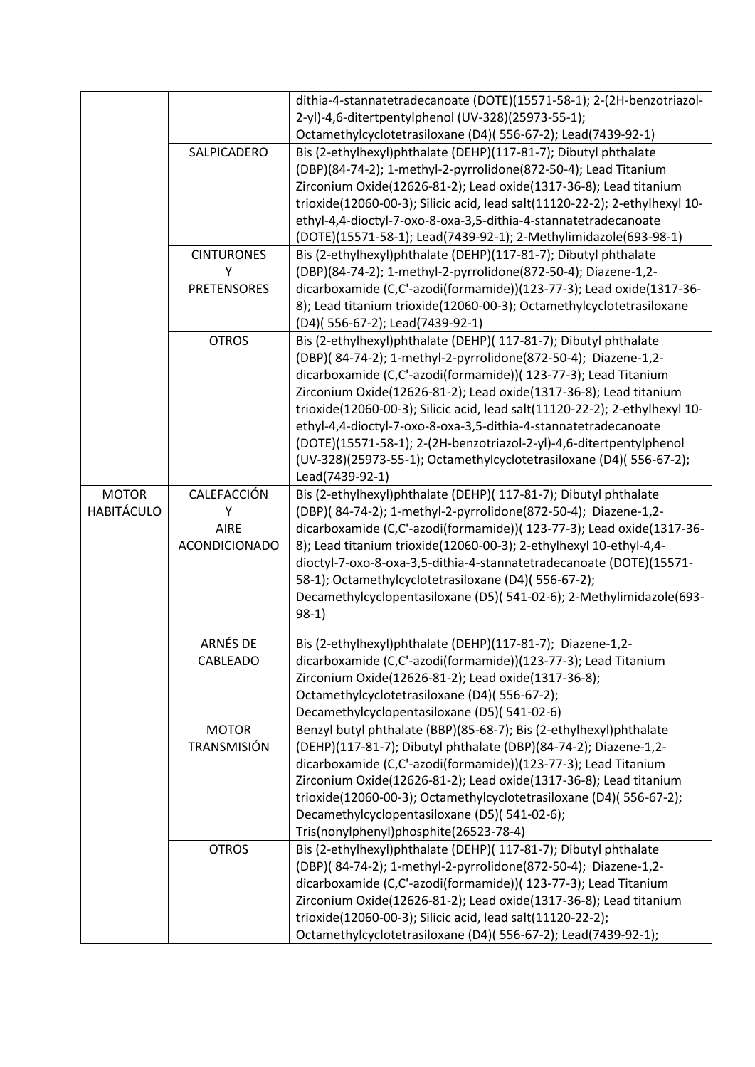|                   |                      | dithia-4-stannatetradecanoate (DOTE)(15571-58-1); 2-(2H-benzotriazol-                                                               |
|-------------------|----------------------|-------------------------------------------------------------------------------------------------------------------------------------|
|                   |                      | 2-yl)-4,6-ditertpentylphenol (UV-328)(25973-55-1);                                                                                  |
|                   |                      | Octamethylcyclotetrasiloxane (D4)(556-67-2); Lead(7439-92-1)                                                                        |
|                   | SALPICADERO          | Bis (2-ethylhexyl)phthalate (DEHP)(117-81-7); Dibutyl phthalate                                                                     |
|                   |                      | (DBP)(84-74-2); 1-methyl-2-pyrrolidone(872-50-4); Lead Titanium                                                                     |
|                   |                      | Zirconium Oxide(12626-81-2); Lead oxide(1317-36-8); Lead titanium                                                                   |
|                   |                      | trioxide(12060-00-3); Silicic acid, lead salt(11120-22-2); 2-ethylhexyl 10-                                                         |
|                   |                      | ethyl-4,4-dioctyl-7-oxo-8-oxa-3,5-dithia-4-stannatetradecanoate                                                                     |
|                   | <b>CINTURONES</b>    | (DOTE)(15571-58-1); Lead(7439-92-1); 2-Methylimidazole(693-98-1)<br>Bis (2-ethylhexyl)phthalate (DEHP)(117-81-7); Dibutyl phthalate |
|                   | Υ                    | (DBP)(84-74-2); 1-methyl-2-pyrrolidone(872-50-4); Diazene-1,2-                                                                      |
|                   | <b>PRETENSORES</b>   | dicarboxamide (C,C'-azodi(formamide))(123-77-3); Lead oxide(1317-36-                                                                |
|                   |                      | 8); Lead titanium trioxide(12060-00-3); Octamethylcyclotetrasiloxane                                                                |
|                   |                      | (D4)(556-67-2); Lead(7439-92-1)                                                                                                     |
|                   | <b>OTROS</b>         | Bis (2-ethylhexyl)phthalate (DEHP)( 117-81-7); Dibutyl phthalate                                                                    |
|                   |                      | (DBP)(84-74-2); 1-methyl-2-pyrrolidone(872-50-4); Diazene-1,2-                                                                      |
|                   |                      | dicarboxamide (C,C'-azodi(formamide))( 123-77-3); Lead Titanium                                                                     |
|                   |                      | Zirconium Oxide(12626-81-2); Lead oxide(1317-36-8); Lead titanium                                                                   |
|                   |                      | trioxide(12060-00-3); Silicic acid, lead salt(11120-22-2); 2-ethylhexyl 10-                                                         |
|                   |                      | ethyl-4,4-dioctyl-7-oxo-8-oxa-3,5-dithia-4-stannatetradecanoate                                                                     |
|                   |                      | (DOTE)(15571-58-1); 2-(2H-benzotriazol-2-yl)-4,6-ditertpentylphenol                                                                 |
|                   |                      | (UV-328)(25973-55-1); Octamethylcyclotetrasiloxane (D4)(556-67-2);                                                                  |
|                   |                      | Lead(7439-92-1)                                                                                                                     |
| <b>MOTOR</b>      | CALEFACCIÓN          | Bis (2-ethylhexyl)phthalate (DEHP)( 117-81-7); Dibutyl phthalate                                                                    |
| <b>HABITÁCULO</b> | Υ                    | (DBP)(84-74-2); 1-methyl-2-pyrrolidone(872-50-4); Diazene-1,2-                                                                      |
|                   | AIRE                 | dicarboxamide (C,C'-azodi(formamide))( 123-77-3); Lead oxide(1317-36-                                                               |
|                   | <b>ACONDICIONADO</b> | 8); Lead titanium trioxide(12060-00-3); 2-ethylhexyl 10-ethyl-4,4-                                                                  |
|                   |                      | dioctyl-7-oxo-8-oxa-3,5-dithia-4-stannatetradecanoate (DOTE)(15571-                                                                 |
|                   |                      | 58-1); Octamethylcyclotetrasiloxane (D4)(556-67-2);                                                                                 |
|                   |                      | Decamethylcyclopentasiloxane (D5)(541-02-6); 2-Methylimidazole(693-                                                                 |
|                   |                      | $98-1)$                                                                                                                             |
|                   | ARNÉS DE             | Bis (2-ethylhexyl)phthalate (DEHP)(117-81-7); Diazene-1,2-                                                                          |
|                   | CABLEADO             | dicarboxamide (C,C'-azodi(formamide))(123-77-3); Lead Titanium                                                                      |
|                   |                      | Zirconium Oxide(12626-81-2); Lead oxide(1317-36-8);                                                                                 |
|                   |                      | Octamethylcyclotetrasiloxane (D4)(556-67-2);                                                                                        |
|                   |                      | Decamethylcyclopentasiloxane (D5)(541-02-6)                                                                                         |
|                   | <b>MOTOR</b>         | Benzyl butyl phthalate (BBP)(85-68-7); Bis (2-ethylhexyl)phthalate                                                                  |
|                   | TRANSMISIÓN          | (DEHP)(117-81-7); Dibutyl phthalate (DBP)(84-74-2); Diazene-1,2-                                                                    |
|                   |                      | dicarboxamide (C,C'-azodi(formamide))(123-77-3); Lead Titanium                                                                      |
|                   |                      | Zirconium Oxide(12626-81-2); Lead oxide(1317-36-8); Lead titanium                                                                   |
|                   |                      | trioxide(12060-00-3); Octamethylcyclotetrasiloxane (D4)(556-67-2);                                                                  |
|                   |                      | Decamethylcyclopentasiloxane (D5)(541-02-6);                                                                                        |
|                   |                      | Tris(nonylphenyl)phosphite(26523-78-4)                                                                                              |
|                   | <b>OTROS</b>         | Bis (2-ethylhexyl)phthalate (DEHP)( 117-81-7); Dibutyl phthalate                                                                    |
|                   |                      | (DBP)(84-74-2); 1-methyl-2-pyrrolidone(872-50-4); Diazene-1,2-                                                                      |
|                   |                      | dicarboxamide (C,C'-azodi(formamide))( 123-77-3); Lead Titanium                                                                     |
|                   |                      | Zirconium Oxide(12626-81-2); Lead oxide(1317-36-8); Lead titanium                                                                   |
|                   |                      | trioxide(12060-00-3); Silicic acid, lead salt(11120-22-2);                                                                          |
|                   |                      | Octamethylcyclotetrasiloxane (D4)(556-67-2); Lead(7439-92-1);                                                                       |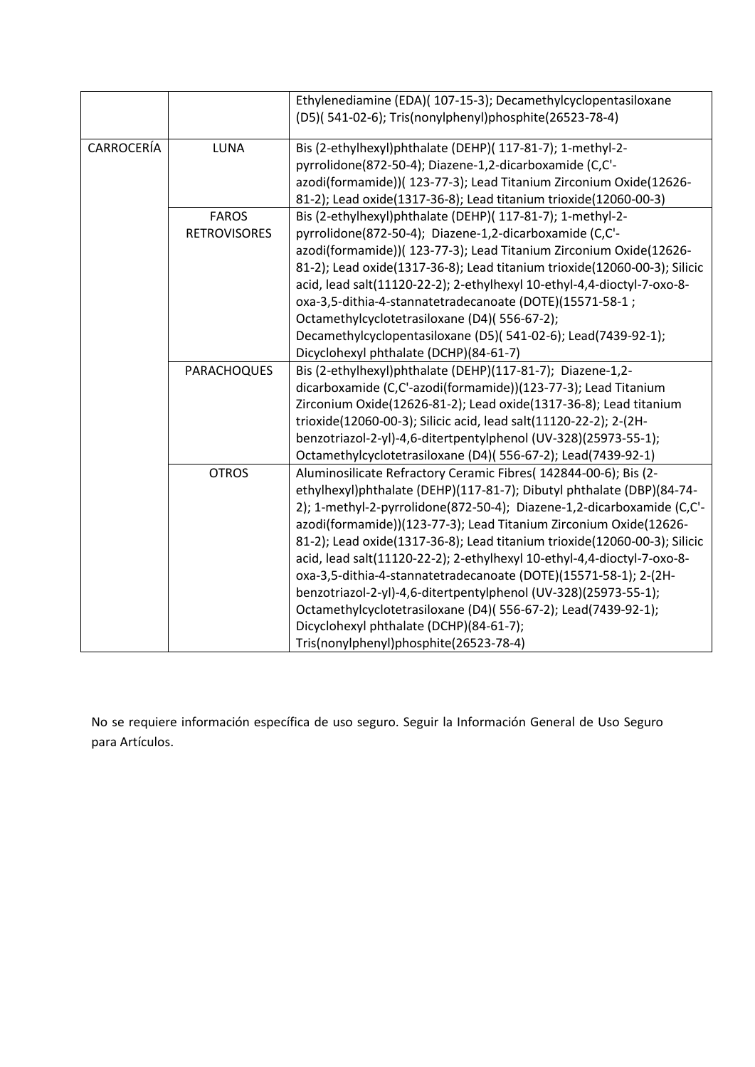|            |                     | Ethylenediamine (EDA)( 107-15-3); Decamethylcyclopentasiloxane            |
|------------|---------------------|---------------------------------------------------------------------------|
|            |                     | (D5)(541-02-6); Tris(nonylphenyl)phosphite(26523-78-4)                    |
|            |                     |                                                                           |
| CARROCERÍA | <b>LUNA</b>         | Bis (2-ethylhexyl)phthalate (DEHP)( 117-81-7); 1-methyl-2-                |
|            |                     | pyrrolidone(872-50-4); Diazene-1,2-dicarboxamide (C,C'-                   |
|            |                     | azodi(formamide))(123-77-3); Lead Titanium Zirconium Oxide(12626-         |
|            |                     | 81-2); Lead oxide(1317-36-8); Lead titanium trioxide(12060-00-3)          |
|            | <b>FAROS</b>        | Bis (2-ethylhexyl)phthalate (DEHP)( 117-81-7); 1-methyl-2-                |
|            | <b>RETROVISORES</b> | pyrrolidone(872-50-4); Diazene-1,2-dicarboxamide (C,C'-                   |
|            |                     | azodi(formamide))( 123-77-3); Lead Titanium Zirconium Oxide(12626-        |
|            |                     | 81-2); Lead oxide(1317-36-8); Lead titanium trioxide(12060-00-3); Silicic |
|            |                     | acid, lead salt(11120-22-2); 2-ethylhexyl 10-ethyl-4,4-dioctyl-7-oxo-8-   |
|            |                     | oxa-3,5-dithia-4-stannatetradecanoate (DOTE)(15571-58-1;                  |
|            |                     | Octamethylcyclotetrasiloxane (D4)(556-67-2);                              |
|            |                     | Decamethylcyclopentasiloxane (D5)(541-02-6); Lead(7439-92-1);             |
|            |                     | Dicyclohexyl phthalate (DCHP)(84-61-7)                                    |
|            | PARACHOQUES         | Bis (2-ethylhexyl)phthalate (DEHP)(117-81-7); Diazene-1,2-                |
|            |                     | dicarboxamide (C,C'-azodi(formamide))(123-77-3); Lead Titanium            |
|            |                     | Zirconium Oxide(12626-81-2); Lead oxide(1317-36-8); Lead titanium         |
|            |                     | trioxide(12060-00-3); Silicic acid, lead salt(11120-22-2); 2-(2H-         |
|            |                     | benzotriazol-2-yl)-4,6-ditertpentylphenol (UV-328)(25973-55-1);           |
|            |                     | Octamethylcyclotetrasiloxane (D4)(556-67-2); Lead(7439-92-1)              |
|            | <b>OTROS</b>        | Aluminosilicate Refractory Ceramic Fibres( 142844-00-6); Bis (2-          |
|            |                     | ethylhexyl)phthalate (DEHP)(117-81-7); Dibutyl phthalate (DBP)(84-74-     |
|            |                     | 2); 1-methyl-2-pyrrolidone(872-50-4); Diazene-1,2-dicarboxamide (C,C'-    |
|            |                     | azodi(formamide))(123-77-3); Lead Titanium Zirconium Oxide(12626-         |
|            |                     | 81-2); Lead oxide(1317-36-8); Lead titanium trioxide(12060-00-3); Silicic |
|            |                     | acid, lead salt(11120-22-2); 2-ethylhexyl 10-ethyl-4,4-dioctyl-7-oxo-8-   |
|            |                     | oxa-3,5-dithia-4-stannatetradecanoate (DOTE)(15571-58-1); 2-(2H-          |
|            |                     | benzotriazol-2-yl)-4,6-ditertpentylphenol (UV-328)(25973-55-1);           |
|            |                     | Octamethylcyclotetrasiloxane (D4)(556-67-2); Lead(7439-92-1);             |
|            |                     | Dicyclohexyl phthalate (DCHP)(84-61-7);                                   |
|            |                     | Tris(nonylphenyl)phosphite(26523-78-4)                                    |

No se requiere información específica de uso seguro. Seguir la Información General de Uso Seguro para Artículos.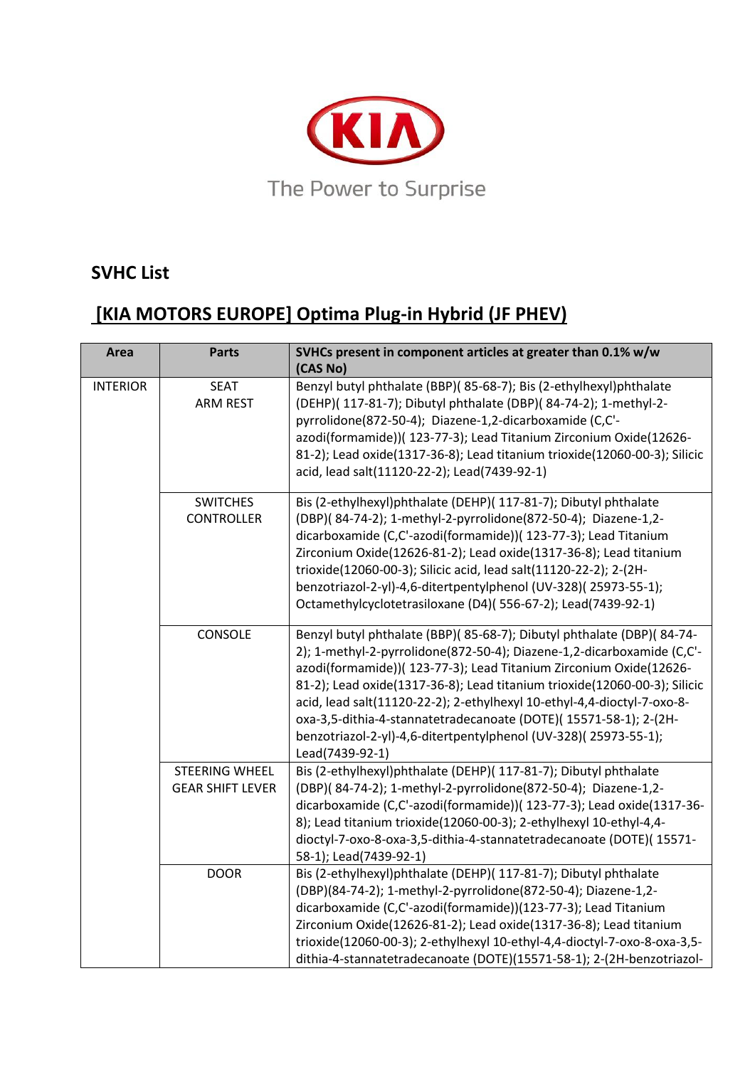

## **SVHC List**

## **[KIA MOTORS EUROPE] Optima Plug-in Hybrid (JF PHEV)**

| Area            | <b>Parts</b>                              | SVHCs present in component articles at greater than 0.1% w/w<br>(CAS No)                                                                                                                                                                                                                                                                                                                                                                                                                                                                 |
|-----------------|-------------------------------------------|------------------------------------------------------------------------------------------------------------------------------------------------------------------------------------------------------------------------------------------------------------------------------------------------------------------------------------------------------------------------------------------------------------------------------------------------------------------------------------------------------------------------------------------|
| <b>INTERIOR</b> | <b>SEAT</b><br><b>ARM REST</b>            | Benzyl butyl phthalate (BBP)(85-68-7); Bis (2-ethylhexyl)phthalate<br>(DEHP)( 117-81-7); Dibutyl phthalate (DBP)( 84-74-2); 1-methyl-2-<br>pyrrolidone(872-50-4); Diazene-1,2-dicarboxamide (C,C'-<br>azodi(formamide))( 123-77-3); Lead Titanium Zirconium Oxide(12626-<br>81-2); Lead oxide(1317-36-8); Lead titanium trioxide(12060-00-3); Silicic<br>acid, lead salt(11120-22-2); Lead(7439-92-1)                                                                                                                                    |
|                 | <b>SWITCHES</b><br><b>CONTROLLER</b>      | Bis (2-ethylhexyl)phthalate (DEHP)( 117-81-7); Dibutyl phthalate<br>(DBP)(84-74-2); 1-methyl-2-pyrrolidone(872-50-4); Diazene-1,2-<br>dicarboxamide (C,C'-azodi(formamide))( 123-77-3); Lead Titanium<br>Zirconium Oxide(12626-81-2); Lead oxide(1317-36-8); Lead titanium<br>trioxide(12060-00-3); Silicic acid, lead salt(11120-22-2); 2-(2H-<br>benzotriazol-2-yl)-4,6-ditertpentylphenol (UV-328)(25973-55-1);<br>Octamethylcyclotetrasiloxane (D4)(556-67-2); Lead(7439-92-1)                                                       |
|                 | CONSOLE                                   | Benzyl butyl phthalate (BBP)(85-68-7); Dibutyl phthalate (DBP)(84-74-<br>2); 1-methyl-2-pyrrolidone(872-50-4); Diazene-1,2-dicarboxamide (C,C'-<br>azodi(formamide))( 123-77-3); Lead Titanium Zirconium Oxide(12626-<br>81-2); Lead oxide(1317-36-8); Lead titanium trioxide(12060-00-3); Silicic<br>acid, lead salt(11120-22-2); 2-ethylhexyl 10-ethyl-4,4-dioctyl-7-oxo-8-<br>oxa-3,5-dithia-4-stannatetradecanoate (DOTE)( 15571-58-1); 2-(2H-<br>benzotriazol-2-yl)-4,6-ditertpentylphenol (UV-328)(25973-55-1);<br>Lead(7439-92-1) |
|                 | STEERING WHEEL<br><b>GEAR SHIFT LEVER</b> | Bis (2-ethylhexyl)phthalate (DEHP)( 117-81-7); Dibutyl phthalate<br>(DBP)(84-74-2); 1-methyl-2-pyrrolidone(872-50-4); Diazene-1,2-<br>dicarboxamide (C,C'-azodi(formamide))( 123-77-3); Lead oxide(1317-36-<br>8); Lead titanium trioxide(12060-00-3); 2-ethylhexyl 10-ethyl-4,4-<br>dioctyl-7-oxo-8-oxa-3,5-dithia-4-stannatetradecanoate (DOTE)(15571-<br>58-1); Lead(7439-92-1)                                                                                                                                                       |
|                 | <b>DOOR</b>                               | Bis (2-ethylhexyl)phthalate (DEHP)( 117-81-7); Dibutyl phthalate<br>(DBP)(84-74-2); 1-methyl-2-pyrrolidone(872-50-4); Diazene-1,2-<br>dicarboxamide (C,C'-azodi(formamide))(123-77-3); Lead Titanium<br>Zirconium Oxide(12626-81-2); Lead oxide(1317-36-8); Lead titanium<br>trioxide(12060-00-3); 2-ethylhexyl 10-ethyl-4,4-dioctyl-7-oxo-8-oxa-3,5-<br>dithia-4-stannatetradecanoate (DOTE)(15571-58-1); 2-(2H-benzotriazol-                                                                                                           |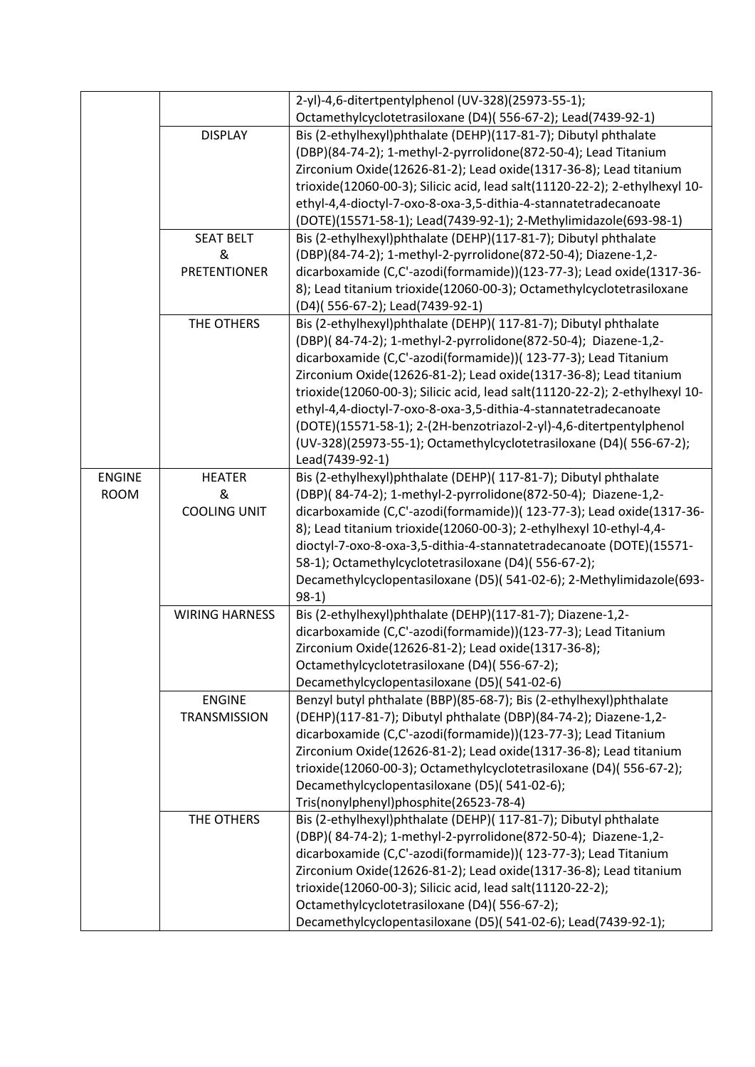|               |                       | 2-yl)-4,6-ditertpentylphenol (UV-328)(25973-55-1);                                                                         |
|---------------|-----------------------|----------------------------------------------------------------------------------------------------------------------------|
|               |                       | Octamethylcyclotetrasiloxane (D4)(556-67-2); Lead(7439-92-1)                                                               |
|               | <b>DISPLAY</b>        | Bis (2-ethylhexyl)phthalate (DEHP)(117-81-7); Dibutyl phthalate                                                            |
|               |                       | (DBP)(84-74-2); 1-methyl-2-pyrrolidone(872-50-4); Lead Titanium                                                            |
|               |                       | Zirconium Oxide(12626-81-2); Lead oxide(1317-36-8); Lead titanium                                                          |
|               |                       | trioxide(12060-00-3); Silicic acid, lead salt(11120-22-2); 2-ethylhexyl 10-                                                |
|               |                       | ethyl-4,4-dioctyl-7-oxo-8-oxa-3,5-dithia-4-stannatetradecanoate                                                            |
|               |                       | (DOTE)(15571-58-1); Lead(7439-92-1); 2-Methylimidazole(693-98-1)                                                           |
|               | <b>SEAT BELT</b>      | Bis (2-ethylhexyl)phthalate (DEHP)(117-81-7); Dibutyl phthalate                                                            |
|               | &                     | (DBP)(84-74-2); 1-methyl-2-pyrrolidone(872-50-4); Diazene-1,2-                                                             |
|               | <b>PRETENTIONER</b>   | dicarboxamide (C,C'-azodi(formamide))(123-77-3); Lead oxide(1317-36-                                                       |
|               |                       | 8); Lead titanium trioxide(12060-00-3); Octamethylcyclotetrasiloxane                                                       |
|               |                       | (D4)(556-67-2); Lead(7439-92-1)                                                                                            |
|               | THE OTHERS            | Bis (2-ethylhexyl)phthalate (DEHP)( 117-81-7); Dibutyl phthalate                                                           |
|               |                       | (DBP)(84-74-2); 1-methyl-2-pyrrolidone(872-50-4); Diazene-1,2-                                                             |
|               |                       | dicarboxamide (C,C'-azodi(formamide))( 123-77-3); Lead Titanium                                                            |
|               |                       | Zirconium Oxide(12626-81-2); Lead oxide(1317-36-8); Lead titanium                                                          |
|               |                       | trioxide(12060-00-3); Silicic acid, lead salt(11120-22-2); 2-ethylhexyl 10-                                                |
|               |                       | ethyl-4,4-dioctyl-7-oxo-8-oxa-3,5-dithia-4-stannatetradecanoate                                                            |
|               |                       | (DOTE)(15571-58-1); 2-(2H-benzotriazol-2-yl)-4,6-ditertpentylphenol                                                        |
|               |                       | (UV-328)(25973-55-1); Octamethylcyclotetrasiloxane (D4)(556-67-2);                                                         |
|               |                       | Lead(7439-92-1)                                                                                                            |
| <b>ENGINE</b> | <b>HEATER</b>         | Bis (2-ethylhexyl)phthalate (DEHP)( 117-81-7); Dibutyl phthalate                                                           |
| <b>ROOM</b>   | &                     | (DBP)(84-74-2); 1-methyl-2-pyrrolidone(872-50-4); Diazene-1,2-                                                             |
|               | <b>COOLING UNIT</b>   | dicarboxamide (C,C'-azodi(formamide))( 123-77-3); Lead oxide(1317-36-                                                      |
|               |                       | 8); Lead titanium trioxide(12060-00-3); 2-ethylhexyl 10-ethyl-4,4-                                                         |
|               |                       | dioctyl-7-oxo-8-oxa-3,5-dithia-4-stannatetradecanoate (DOTE)(15571-                                                        |
|               |                       | 58-1); Octamethylcyclotetrasiloxane (D4)(556-67-2);<br>Decamethylcyclopentasiloxane (D5)(541-02-6); 2-Methylimidazole(693- |
|               |                       | $98-1)$                                                                                                                    |
|               | <b>WIRING HARNESS</b> | Bis (2-ethylhexyl)phthalate (DEHP)(117-81-7); Diazene-1,2-                                                                 |
|               |                       | dicarboxamide (C,C'-azodi(formamide))(123-77-3); Lead Titanium                                                             |
|               |                       | Zirconium Oxide(12626-81-2); Lead oxide(1317-36-8);                                                                        |
|               |                       | Octamethylcyclotetrasiloxane (D4)(556-67-2);                                                                               |
|               |                       | Decamethylcyclopentasiloxane (D5)(541-02-6)                                                                                |
|               | <b>ENGINE</b>         | Benzyl butyl phthalate (BBP)(85-68-7); Bis (2-ethylhexyl)phthalate                                                         |
|               | <b>TRANSMISSION</b>   | (DEHP)(117-81-7); Dibutyl phthalate (DBP)(84-74-2); Diazene-1,2-                                                           |
|               |                       | dicarboxamide (C,C'-azodi(formamide))(123-77-3); Lead Titanium                                                             |
|               |                       | Zirconium Oxide(12626-81-2); Lead oxide(1317-36-8); Lead titanium                                                          |
|               |                       | trioxide(12060-00-3); Octamethylcyclotetrasiloxane (D4)(556-67-2);                                                         |
|               |                       | Decamethylcyclopentasiloxane (D5)(541-02-6);                                                                               |
|               |                       | Tris(nonylphenyl)phosphite(26523-78-4)                                                                                     |
|               | THE OTHERS            | Bis (2-ethylhexyl)phthalate (DEHP)( 117-81-7); Dibutyl phthalate                                                           |
|               |                       | (DBP)(84-74-2); 1-methyl-2-pyrrolidone(872-50-4); Diazene-1,2-                                                             |
|               |                       | dicarboxamide (C,C'-azodi(formamide))( 123-77-3); Lead Titanium                                                            |
|               |                       | Zirconium Oxide(12626-81-2); Lead oxide(1317-36-8); Lead titanium                                                          |
|               |                       | trioxide(12060-00-3); Silicic acid, lead salt(11120-22-2);                                                                 |
|               |                       | Octamethylcyclotetrasiloxane (D4)(556-67-2);                                                                               |
|               |                       | Decamethylcyclopentasiloxane (D5)(541-02-6); Lead(7439-92-1);                                                              |